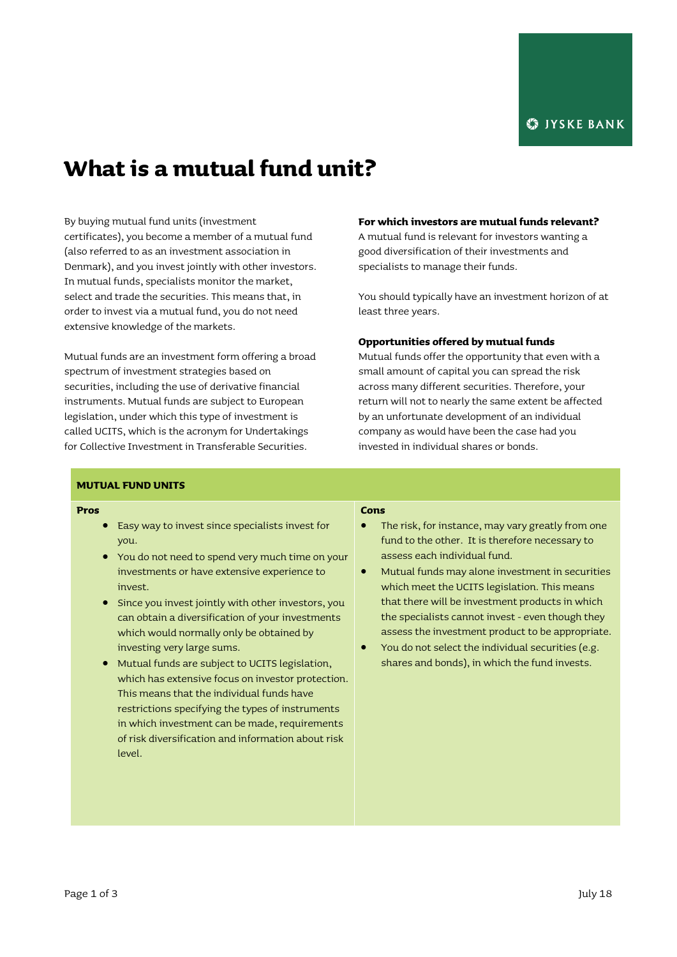# **What is a mutual fund unit?**

By buying mutual fund units (investment certificates), you become a member of a mutual fund (also referred to as an investment association in Denmark), and you invest jointly with other investors. In mutual funds, specialists monitor the market, select and trade the securities. This means that, in order to invest via a mutual fund, you do not need extensive knowledge of the markets.

Mutual funds are an investment form offering a broad spectrum of investment strategies based on securities, including the use of derivative financial instruments. Mutual funds are subject to European legislation, under which this type of investment is called UCITS, which is the acronym for Undertakings for Collective Investment in Transferable Securities.

#### **For which investors are mutual funds relevant?**

A mutual fund is relevant for investors wanting a good diversification of their investments and specialists to manage their funds.

You should typically have an investment horizon of at least three years.

## **Opportunities offered by mutual funds**

Mutual funds offer the opportunity that even with a small amount of capital you can spread the risk across many different securities. Therefore, your return will not to nearly the same extent be affected by an unfortunate development of an individual company as would have been the case had you invested in individual shares or bonds.

## **MUTUAL FUND UNITS**

#### **Pros**

- Easy way to invest since specialists invest for you.
- You do not need to spend very much time on your investments or have extensive experience to invest.
- Since you invest jointly with other investors, you can obtain a diversification of your investments which would normally only be obtained by investing very large sums.
- Mutual funds are subject to UCITS legislation, which has extensive focus on investor protection. This means that the individual funds have restrictions specifying the types of instruments in which investment can be made, requirements of risk diversification and information about risk level.

# **Cons**

- The risk, for instance, may vary greatly from one fund to the other. It is therefore necessary to assess each individual fund.
- Mutual funds may alone investment in securities which meet the UCITS legislation. This means that there will be investment products in which the specialists cannot invest - even though they assess the investment product to be appropriate.
- You do not select the individual securities (e.g. shares and bonds), in which the fund invests.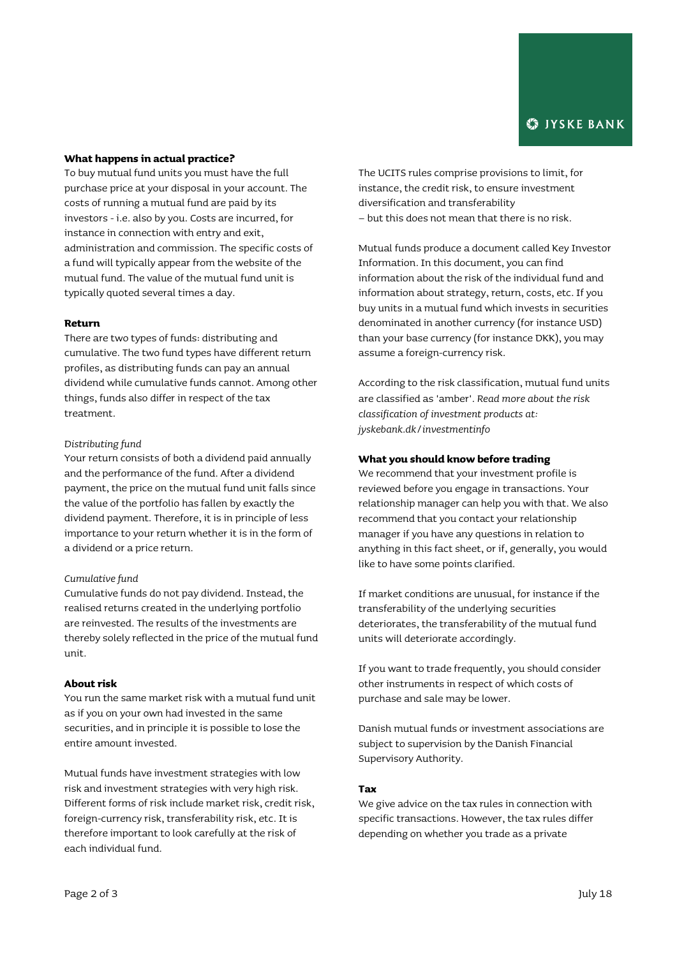## **What happens in actual practice?**

To buy mutual fund units you must have the full purchase price at your disposal in your account. The costs of running a mutual fund are paid by its investors - i.e. also by you. Costs are incurred, for instance in connection with entry and exit, administration and commission. The specific costs of a fund will typically appear from the website of the mutual fund. The value of the mutual fund unit is typically quoted several times a day.

## **Return**

There are two types of funds: distributing and cumulative. The two fund types have different return profiles, as distributing funds can pay an annual dividend while cumulative funds cannot. Among other things, funds also differ in respect of the tax treatment.

#### *Distributing fund*

Your return consists of both a dividend paid annually and the performance of the fund. After a dividend payment, the price on the mutual fund unit falls since the value of the portfolio has fallen by exactly the dividend payment. Therefore, it is in principle of less importance to your return whether it is in the form of a dividend or a price return.

# *Cumulative fund*

Cumulative funds do not pay dividend. Instead, the realised returns created in the underlying portfolio are reinvested. The results of the investments are thereby solely reflected in the price of the mutual fund unit.

## **About risk**

You run the same market risk with a mutual fund unit as if you on your own had invested in the same securities, and in principle it is possible to lose the entire amount invested.

Mutual funds have investment strategies with low risk and investment strategies with very high risk. Different forms of risk include market risk, credit risk, foreign-currency risk, transferability risk, etc. It is therefore important to look carefully at the risk of each individual fund.

The UCITS rules comprise provisions to limit, for instance, the credit risk, to ensure investment diversification and transferability – but this does not mean that there is no risk.

Mutual funds produce a document called Key Investor Information. In this document, you can find information about the risk of the individual fund and information about strategy, return, costs, etc. If you buy units in a mutual fund which invests in securities denominated in another currency (for instance USD) than your base currency (for instance DKK), you may assume a foreign-currency risk.

According to the risk classification, mutual fund units are classified as 'amber'. *Read more about the risk classification of investment products at: jyskebank.dk/investmentinfo*

#### **What you should know before trading**

We recommend that your investment profile is reviewed before you engage in transactions. Your relationship manager can help you with that. We also recommend that you contact your relationship manager if you have any questions in relation to anything in this fact sheet, or if, generally, you would like to have some points clarified.

If market conditions are unusual, for instance if the transferability of the underlying securities deteriorates, the transferability of the mutual fund units will deteriorate accordingly.

If you want to trade frequently, you should consider other instruments in respect of which costs of purchase and sale may be lower.

Danish mutual funds or investment associations are subject to supervision by the Danish Financial Supervisory Authority.

## **Tax**

We give advice on the tax rules in connection with specific transactions. However, the tax rules differ depending on whether you trade as a private